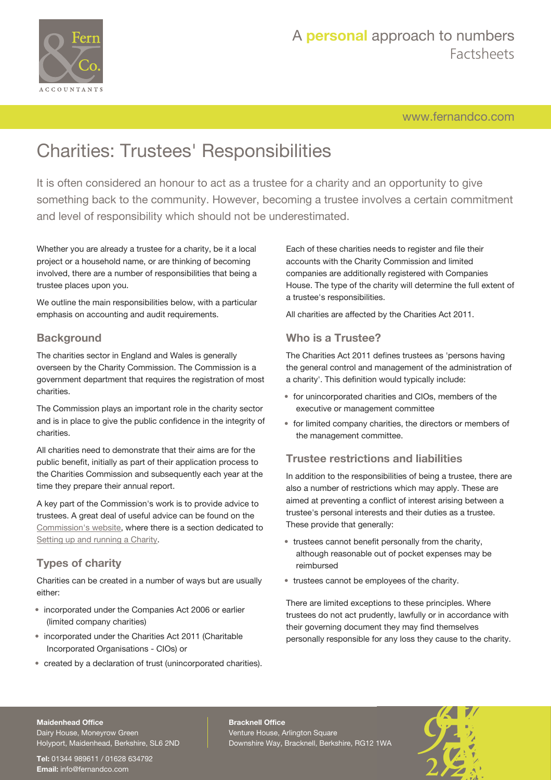

## A **personal** approach to numbers Factsheets

[www.fernandco.com](http://www.fernandco.com)

# Charities: Trustees' Responsibilities

It is often considered an honour to act as a trustee for a charity and an opportunity to give something back to the community. However, becoming a trustee involves a certain commitment and level of responsibility which should not be underestimated.

Whether you are already a trustee for a charity, be it a local project or a household name, or are thinking of becoming involved, there are a number of responsibilities that being a trustee places upon you.

We outline the main responsibilities below, with a particular emphasis on accounting and audit requirements.

### **Background**

The charities sector in England and Wales is generally overseen by the Charity Commission. The Commission is a government department that requires the registration of most charities.

The Commission plays an important role in the charity sector and is in place to give the public confidence in the integrity of charities.

All charities need to demonstrate that their aims are for the public benefit, initially as part of their application process to the Charities Commission and subsequently each year at the time they prepare their annual report.

A key part of the Commission's work is to provide advice to trustees. A great deal of useful advice can be found on the [Commission's website,](https://www.gov.uk/government/organisations/charity-commission) where there is a section dedicated to [Setting up and running a Charity.](https://www.gov.uk/running-charity)

## **Types of charity**

Charities can be created in a number of ways but are usually either:

- incorporated under the Companies Act 2006 or earlier (limited company charities)
- incorporated under the Charities Act 2011 (Charitable Incorporated Organisations - CIOs) or
- created by a declaration of trust (unincorporated charities).

Each of these charities needs to register and file their accounts with the Charity Commission and limited companies are additionally registered with Companies House. The type of the charity will determine the full extent of a trustee's responsibilities.

All charities are affected by the Charities Act 2011.

### **Who is a Trustee?**

The Charities Act 2011 defines trustees as 'persons having the general control and management of the administration of a charity'. This definition would typically include:

- for unincorporated charities and CIOs, members of the executive or management committee
- for limited company charities, the directors or members of the management committee.

### **Trustee restrictions and liabilities**

In addition to the responsibilities of being a trustee, there are also a number of restrictions which may apply. These are aimed at preventing a conflict of interest arising between a trustee's personal interests and their duties as a trustee. These provide that generally:

- trustees cannot benefit personally from the charity, although reasonable out of pocket expenses may be reimbursed
- trustees cannot be employees of the charity.

There are limited exceptions to these principles. Where trustees do not act prudently, lawfully or in accordance with their governing document they may find themselves personally responsible for any loss they cause to the charity.

#### **Maidenhead Office**

Dairy House, Moneyrow Green Holyport, Maidenhead, Berkshire, SL6 2ND

**Tel:** 01344 989611 / 01628 634792 **Email:** [info@fernandco.com](mailto:info@fernandco.com)

**Bracknell Office** Venture House, Arlington Square Downshire Way, Bracknell, Berkshire, RG12 1WA

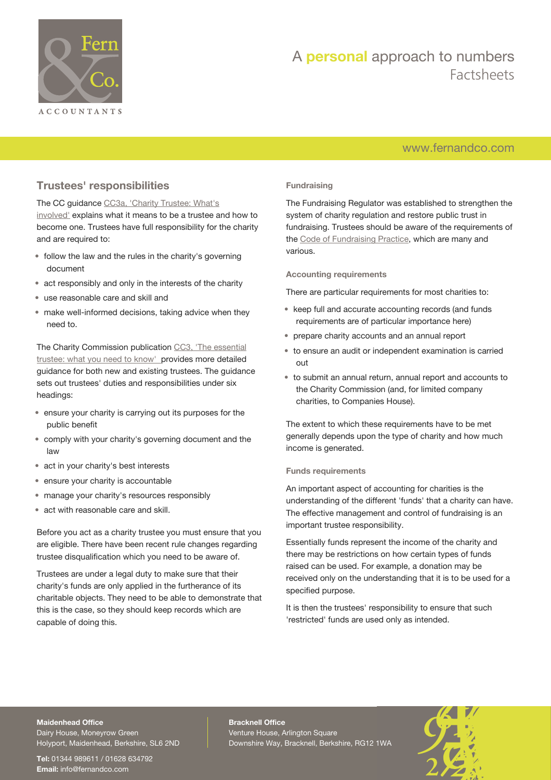

## A **personal** approach to numbers Factsheets

## [www.fernandco.com](http://www.fernandco.com)

## **Trustees' responsibilities**

The CC guidance [CC3a, 'Charity Trustee: What's](https://www.gov.uk/guidance/charity-trustee-whats-involved#how-to-become-a-trustee) [involved'](https://www.gov.uk/guidance/charity-trustee-whats-involved#how-to-become-a-trustee) explains what it means to be a trustee and how to become one. Trustees have full responsibility for the charity and are required to:

- follow the law and the rules in the charity's governing document
- act responsibly and only in the interests of the charity
- use reasonable care and skill and
- make well-informed decisions, taking advice when they need to.

The Charity Commission publication [CC3, 'The essential](https://www.gov.uk/government/publications/the-essential-trustee-what-you-need-to-know-cc3) [trustee: what you need to know'](https://www.gov.uk/government/publications/the-essential-trustee-what-you-need-to-know-cc3) provides more detailed guidance for both new and existing trustees. The guidance sets out trustees' duties and responsibilities under six headings:

- ensure your charity is carrying out its purposes for the public benefit
- comply with your charity's governing document and the law
- act in your charity's best interests
- ensure your charity is accountable
- manage your charity's resources responsibly
- act with reasonable care and skill.

Before you act as a charity trustee you must ensure that you are eligible. There have been recent rule changes regarding trustee disqualification which you need to be aware of.

Trustees are under a legal duty to make sure that their charity's funds are only applied in the furtherance of its charitable objects. They need to be able to demonstrate that this is the case, so they should keep records which are capable of doing this.

#### **Fundraising**

The Fundraising Regulator was established to strengthen the system of charity regulation and restore public trust in fundraising. Trustees should be aware of the requirements of the [Code of Fundraising Practice](https://www.fundraisingregulator.org.uk/code-of-fundraising-practice/code-of-fundraising-practice/), which are many and various.

**Accounting requirements**

There are particular requirements for most charities to:

- keep full and accurate accounting records (and funds requirements are of particular importance here)
- prepare charity accounts and an annual report
- to ensure an audit or independent examination is carried out
- to submit an annual return, annual report and accounts to the Charity Commission (and, for limited company charities, to Companies House).

The extent to which these requirements have to be met generally depends upon the type of charity and how much income is generated.

#### **Funds requirements**

An important aspect of accounting for charities is the understanding of the different 'funds' that a charity can have. The effective management and control of fundraising is an important trustee responsibility.

Essentially funds represent the income of the charity and there may be restrictions on how certain types of funds raised can be used. For example, a donation may be received only on the understanding that it is to be used for a specified purpose.

It is then the trustees' responsibility to ensure that such 'restricted' funds are used only as intended.

### **Maidenhead Office**

Dairy House, Moneyrow Green Holyport, Maidenhead, Berkshire, SL6 2ND

**Tel:** 01344 989611 / 01628 634792 **Email:** [info@fernandco.com](mailto:info@fernandco.com)

**Bracknell Office** Venture House, Arlington Square Downshire Way, Bracknell, Berkshire, RG12 1WA